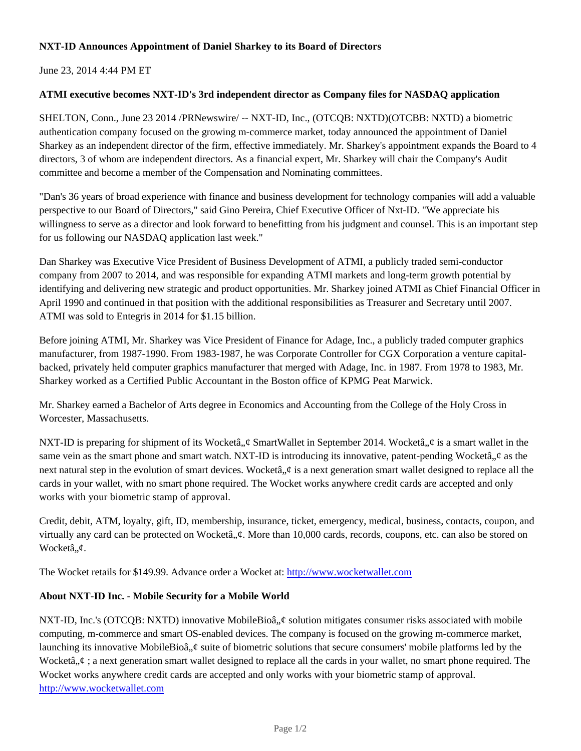## **NXT-ID Announces Appointment of Daniel Sharkey to its Board of Directors**

June 23, 2014 4:44 PM ET

### **ATMI executive becomes NXT-ID's 3rd independent director as Company files for NASDAQ application**

SHELTON, Conn., June 23 2014 /PRNewswire/ -- NXT-ID, Inc., (OTCQB: NXTD)(OTCBB: NXTD) a biometric authentication company focused on the growing m-commerce market, today announced the appointment of Daniel Sharkey as an independent director of the firm, effective immediately. Mr. Sharkey's appointment expands the Board to 4 directors, 3 of whom are independent directors. As a financial expert, Mr. Sharkey will chair the Company's Audit committee and become a member of the Compensation and Nominating committees.

"Dan's 36 years of broad experience with finance and business development for technology companies will add a valuable perspective to our Board of Directors," said Gino Pereira, Chief Executive Officer of Nxt-ID. "We appreciate his willingness to serve as a director and look forward to benefitting from his judgment and counsel. This is an important step for us following our NASDAQ application last week."

Dan Sharkey was Executive Vice President of Business Development of ATMI, a publicly traded semi-conductor company from 2007 to 2014, and was responsible for expanding ATMI markets and long-term growth potential by identifying and delivering new strategic and product opportunities. Mr. Sharkey joined ATMI as Chief Financial Officer in April 1990 and continued in that position with the additional responsibilities as Treasurer and Secretary until 2007. ATMI was sold to Entegris in 2014 for \$1.15 billion.

Before joining ATMI, Mr. Sharkey was Vice President of Finance for Adage, Inc., a publicly traded computer graphics manufacturer, from 1987-1990. From 1983-1987, he was Corporate Controller for CGX Corporation a venture capitalbacked, privately held computer graphics manufacturer that merged with Adage, Inc. in 1987. From 1978 to 1983, Mr. Sharkey worked as a Certified Public Accountant in the Boston office of KPMG Peat Marwick.

Mr. Sharkey earned a Bachelor of Arts degree in Economics and Accounting from the College of the Holy Cross in Worcester, Massachusetts.

NXT-ID is preparing for shipment of its Wocketâ,  $\phi$  SmartWallet in September 2014. Wocketâ,  $\phi$  is a smart wallet in the same vein as the smart phone and smart watch. NXT-ID is introducing its innovative, patent-pending Wocketâ,  $\phi$  as the next natural step in the evolution of smart devices. Wocket $\hat{a}$ ,  $\hat{\phi}$  is a next generation smart wallet designed to replace all the cards in your wallet, with no smart phone required. The Wocket works anywhere credit cards are accepted and only works with your biometric stamp of approval.

Credit, debit, ATM, loyalty, gift, ID, membership, insurance, ticket, emergency, medical, business, contacts, coupon, and virtually any card can be protected on Wocketâ,  $\phi$ . More than 10,000 cards, records, coupons, etc. can also be stored on Wocketâ,,¢.

The Wocket retails for \$149.99. Advance order a Wocket at: http://www.wocketwallet.com

#### **About NXT-ID Inc. - Mobile Security for a Mobile World**

NXT-ID, Inc.'s (OTCQB: NXTD) innovative MobileBioâ,  $\phi$  solution mitigates consumer risks associated with mobile computing, m-commerce and smart OS-enabled devices. The company is focused on the growing m-commerce market, launching its innovative MobileBioâ,  $\phi$  suite of biometric solutions that secure consumers' mobile platforms led by the Wocketâ,  $\phi$ ; a next generation smart wallet designed to replace all the cards in your wallet, no smart phone required. The Wocket works anywhere credit cards are accepted and only works with your biometric stamp of approval. http://www.wocketwallet.com